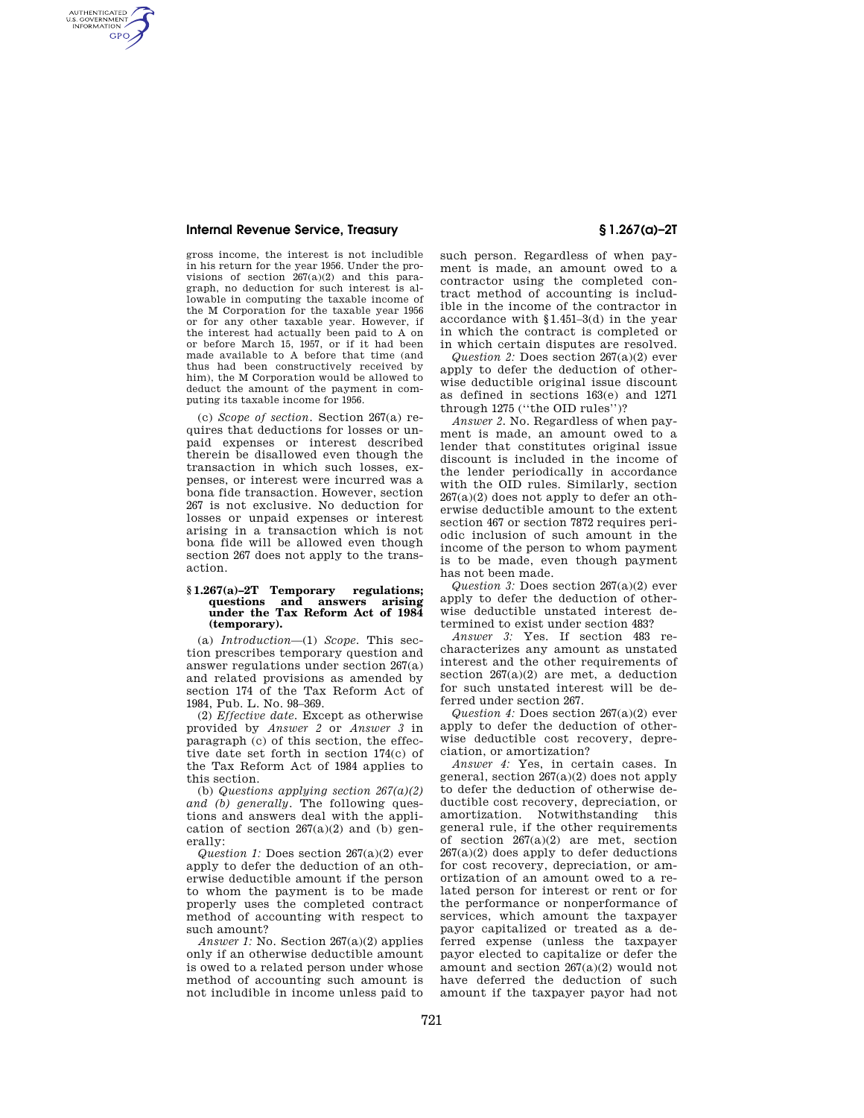## **Internal Revenue Service, Treasury § 1.267(a)–2T**

AUTHENTICATED<br>U.S. GOVERNMENT<br>INFORMATION **GPO** 

gross income, the interest is not includible in his return for the year 1956. Under the provisions of section 267(a)(2) and this paragraph, no deduction for such interest is allowable in computing the taxable income of the M Corporation for the taxable year 1956 or for any other taxable year. However, if the interest had actually been paid to A on or before March 15, 1957, or if it had been made available to A before that time (and thus had been constructively received by him), the M Corporation would be allowed to deduct the amount of the payment in computing its taxable income for 1956.

(c) *Scope of section.* Section 267(a) requires that deductions for losses or unpaid expenses or interest described therein be disallowed even though the transaction in which such losses, expenses, or interest were incurred was a bona fide transaction. However, section 267 is not exclusive. No deduction for losses or unpaid expenses or interest arising in a transaction which is not bona fide will be allowed even though section 267 does not apply to the transaction.

## **§ 1.267(a)–2T Temporary regulations; questions and answers arising under the Tax Reform Act of 1984 (temporary).**

(a) *Introduction*—(1) *Scope.* This section prescribes temporary question and answer regulations under section 267(a) and related provisions as amended by section 174 of the Tax Reform Act of 1984, Pub. L. No. 98–369.

(2) *Effective date.* Except as otherwise provided by *Answer 2* or *Answer 3* in paragraph (c) of this section, the effective date set forth in section 174(c) of the Tax Reform Act of 1984 applies to this section.

(b) *Questions applying section 267(a)(2) and (b) generally.* The following questions and answers deal with the application of section  $267(a)(2)$  and (b) generally:

*Question 1:* Does section 267(a)(2) ever apply to defer the deduction of an otherwise deductible amount if the person to whom the payment is to be made properly uses the completed contract method of accounting with respect to such amount?

*Answer 1:* No. Section 267(a)(2) applies only if an otherwise deductible amount is owed to a related person under whose method of accounting such amount is not includible in income unless paid to

such person. Regardless of when payment is made, an amount owed to a contractor using the completed contract method of accounting is includible in the income of the contractor in accordance with §1.451–3(d) in the year in which the contract is completed or in which certain disputes are resolved.

*Question 2:* Does section 267(a)(2) ever apply to defer the deduction of otherwise deductible original issue discount as defined in sections 163(e) and 1271 through 1275 (''the OID rules'')?

*Answer 2.* No. Regardless of when payment is made, an amount owed to a lender that constitutes original issue discount is included in the income of the lender periodically in accordance with the OID rules. Similarly, section  $267(a)(2)$  does not apply to defer an otherwise deductible amount to the extent section 467 or section 7872 requires periodic inclusion of such amount in the income of the person to whom payment is to be made, even though payment has not been made.

*Question 3:* Does section 267(a)(2) ever apply to defer the deduction of otherwise deductible unstated interest determined to exist under section 483?

*Answer 3:* Yes. If section 483 recharacterizes any amount as unstated interest and the other requirements of section  $267(a)(2)$  are met, a deduction for such unstated interest will be deferred under section 267.

*Question 4:* Does section 267(a)(2) ever apply to defer the deduction of otherwise deductible cost recovery, depreciation, or amortization?

*Answer 4:* Yes, in certain cases. In general, section 267(a)(2) does not apply to defer the deduction of otherwise deductible cost recovery, depreciation, or amortization. Notwithstanding this general rule, if the other requirements of section 267(a)(2) are met, section  $267(a)(2)$  does apply to defer deductions for cost recovery, depreciation, or amortization of an amount owed to a related person for interest or rent or for the performance or nonperformance of services, which amount the taxpayer payor capitalized or treated as a deferred expense (unless the taxpayer payor elected to capitalize or defer the amount and section 267(a)(2) would not have deferred the deduction of such amount if the taxpayer payor had not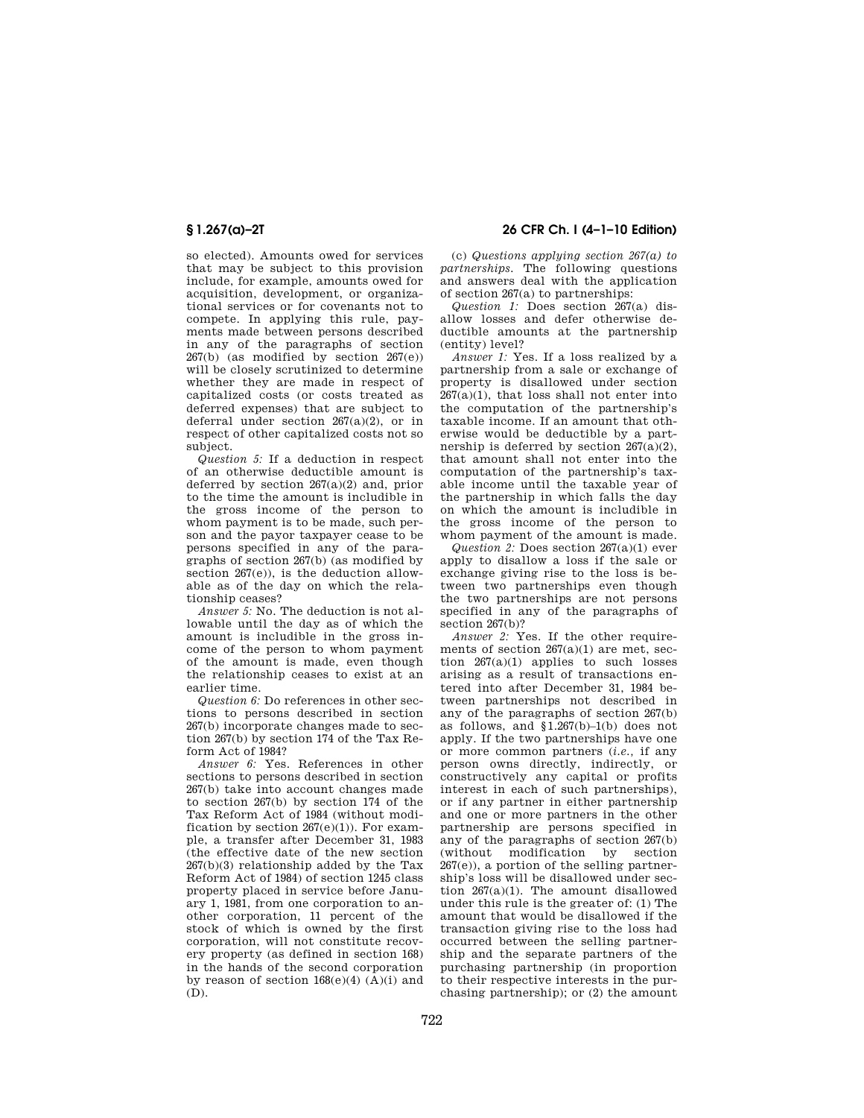so elected). Amounts owed for services that may be subject to this provision include, for example, amounts owed for acquisition, development, or organizational services or for covenants not to compete. In applying this rule, payments made between persons described in any of the paragraphs of section  $267(b)$  (as modified by section  $267(e)$ ) will be closely scrutinized to determine whether they are made in respect of capitalized costs (or costs treated as deferred expenses) that are subject to deferral under section  $267(a)(2)$ , or in respect of other capitalized costs not so subject.

*Question 5:* If a deduction in respect of an otherwise deductible amount is deferred by section  $267(a)(2)$  and, prior to the time the amount is includible in the gross income of the person to whom payment is to be made, such person and the payor taxpayer cease to be persons specified in any of the paragraphs of section 267(b) (as modified by section 267(e)), is the deduction allowable as of the day on which the relationship ceases?

*Answer 5:* No. The deduction is not allowable until the day as of which the amount is includible in the gross income of the person to whom payment of the amount is made, even though the relationship ceases to exist at an earlier time.

*Question 6:* Do references in other sections to persons described in section 267(b) incorporate changes made to section 267(b) by section 174 of the Tax Reform Act of 1984?

*Answer 6:* Yes. References in other sections to persons described in section 267(b) take into account changes made to section 267(b) by section 174 of the Tax Reform Act of 1984 (without modification by section  $267(e)(1)$ ). For example, a transfer after December 31, 1983 (the effective date of the new section 267(b)(3) relationship added by the Tax Reform Act of 1984) of section 1245 class property placed in service before January 1, 1981, from one corporation to another corporation, 11 percent of the stock of which is owned by the first corporation, will not constitute recovery property (as defined in section 168) in the hands of the second corporation by reason of section  $168(e)(4)$  (A)(i) and  $(D)$ .

**§ 1.267(a)–2T 26 CFR Ch. I (4–1–10 Edition)** 

(c) *Questions applying section 267(a) to partnerships.* The following questions and answers deal with the application of section 267(a) to partnerships:

*Question 1:* Does section 267(a) disallow losses and defer otherwise deductible amounts at the partnership (entity) level?

*Answer 1:* Yes. If a loss realized by a partnership from a sale or exchange of property is disallowed under section  $267(a)(1)$ , that loss shall not enter into the computation of the partnership's taxable income. If an amount that otherwise would be deductible by a partnership is deferred by section  $267(a)(2)$ , that amount shall not enter into the computation of the partnership's taxable income until the taxable year of the partnership in which falls the day on which the amount is includible in the gross income of the person to whom payment of the amount is made.

*Question 2:* Does section 267(a)(1) ever apply to disallow a loss if the sale or exchange giving rise to the loss is between two partnerships even though the two partnerships are not persons specified in any of the paragraphs of section 267(b)?

*Answer 2:* Yes. If the other requirements of section  $267(a)(1)$  are met, section  $267(a)(1)$  applies to such losses arising as a result of transactions entered into after December 31, 1984 between partnerships not described in any of the paragraphs of section 267(b) as follows, and §1.267(b)–1(b) does not apply. If the two partnerships have one or more common partners (*i.e.,* if any person owns directly, indirectly, or constructively any capital or profits interest in each of such partnerships), or if any partner in either partnership and one or more partners in the other partnership are persons specified in any of the paragraphs of section 267(b) (without modification by section  $267(e)$ ), a portion of the selling partnership's loss will be disallowed under section 267(a)(1). The amount disallowed under this rule is the greater of: (1) The amount that would be disallowed if the transaction giving rise to the loss had occurred between the selling partnership and the separate partners of the purchasing partnership (in proportion to their respective interests in the purchasing partnership); or (2) the amount